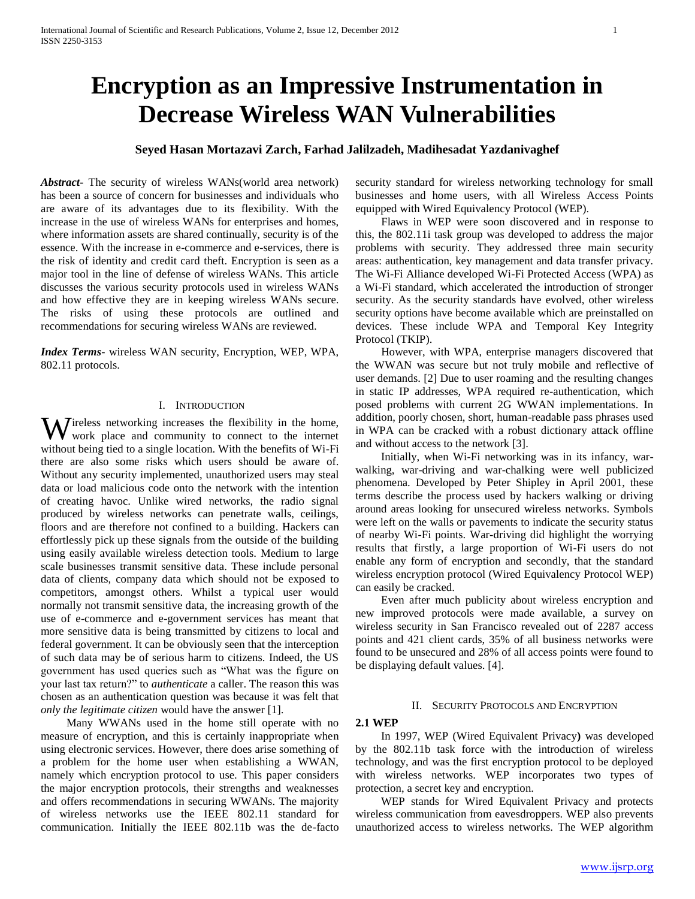# **Encryption as an Impressive Instrumentation in Decrease Wireless WAN Vulnerabilities**

## **Seyed Hasan Mortazavi Zarch, Farhad Jalilzadeh, Madihesadat Yazdanivaghef**

*Abstract***-** The security of wireless WANs(world area network) has been a source of concern for businesses and individuals who are aware of its advantages due to its flexibility. With the increase in the use of wireless WANs for enterprises and homes, where information assets are shared continually, security is of the essence. With the increase in e-commerce and e-services, there is the risk of identity and credit card theft. Encryption is seen as a major tool in the line of defense of wireless WANs. This article discusses the various security protocols used in wireless WANs and how effective they are in keeping wireless WANs secure. The risks of using these protocols are outlined and recommendations for securing wireless WANs are reviewed.

*Index Terms*- wireless WAN security, Encryption, WEP, WPA, 802.11 protocols.

#### I. INTRODUCTION

ireless networking increases the flexibility in the home, Wireless networking increases the flexibility in the home,<br>work place and community to connect to the internet without being tied to a single location. With the benefits of Wi-Fi there are also some risks which users should be aware of. Without any security implemented, unauthorized users may steal data or load malicious code onto the network with the intention of creating havoc. Unlike wired networks, the radio signal produced by wireless networks can penetrate walls, ceilings, floors and are therefore not confined to a building. Hackers can effortlessly pick up these signals from the outside of the building using easily available wireless detection tools. Medium to large scale businesses transmit sensitive data. These include personal data of clients, company data which should not be exposed to competitors, amongst others. Whilst a typical user would normally not transmit sensitive data, the increasing growth of the use of e-commerce and e-government services has meant that more sensitive data is being transmitted by citizens to local and federal government. It can be obviously seen that the interception of such data may be of serious harm to citizens. Indeed, the US government has used queries such as "What was the figure on your last tax return?" to *authenticate* a caller. The reason this was chosen as an authentication question was because it was felt that *only the legitimate citizen* would have the answer [1].

 Many WWANs used in the home still operate with no measure of encryption, and this is certainly inappropriate when using electronic services. However, there does arise something of a problem for the home user when establishing a WWAN, namely which encryption protocol to use. This paper considers the major encryption protocols, their strengths and weaknesses and offers recommendations in securing WWANs. The majority of wireless networks use the IEEE 802.11 standard for communication. Initially the IEEE 802.11b was the de-facto

security standard for wireless networking technology for small businesses and home users, with all Wireless Access Points equipped with Wired Equivalency Protocol (WEP).

 Flaws in WEP were soon discovered and in response to this, the 802.11i task group was developed to address the major problems with security. They addressed three main security areas: authentication, key management and data transfer privacy. The Wi-Fi Alliance developed Wi-Fi Protected Access (WPA) as a Wi-Fi standard, which accelerated the introduction of stronger security. As the security standards have evolved, other wireless security options have become available which are preinstalled on devices. These include WPA and Temporal Key Integrity Protocol (TKIP).

 However, with WPA, enterprise managers discovered that the WWAN was secure but not truly mobile and reflective of user demands. [2] Due to user roaming and the resulting changes in static IP addresses, WPA required re-authentication, which posed problems with current 2G WWAN implementations. In addition, poorly chosen, short, human-readable pass phrases used in WPA can be cracked with a robust dictionary attack offline and without access to the network [3].

 Initially, when Wi-Fi networking was in its infancy, warwalking, war-driving and war-chalking were well publicized phenomena. Developed by Peter Shipley in April 2001, these terms describe the process used by hackers walking or driving around areas looking for unsecured wireless networks. Symbols were left on the walls or pavements to indicate the security status of nearby Wi-Fi points. War-driving did highlight the worrying results that firstly, a large proportion of Wi-Fi users do not enable any form of encryption and secondly, that the standard wireless encryption protocol (Wired Equivalency Protocol WEP) can easily be cracked.

 Even after much publicity about wireless encryption and new improved protocols were made available, a survey on wireless security in San Francisco revealed out of 2287 access points and 421 client cards, 35% of all business networks were found to be unsecured and 28% of all access points were found to be displaying default values. [4].

#### II. SECURITY PROTOCOLS AND ENCRYPTION

#### **2.1 WEP**

 In 1997, WEP (Wired Equivalent Privacy**)** was developed by the 802.11b task force with the introduction of wireless technology, and was the first encryption protocol to be deployed with wireless networks. WEP incorporates two types of protection, a secret key and encryption.

 WEP stands for Wired Equivalent Privacy and protects wireless communication from eavesdroppers. WEP also prevents unauthorized access to wireless networks. The WEP algorithm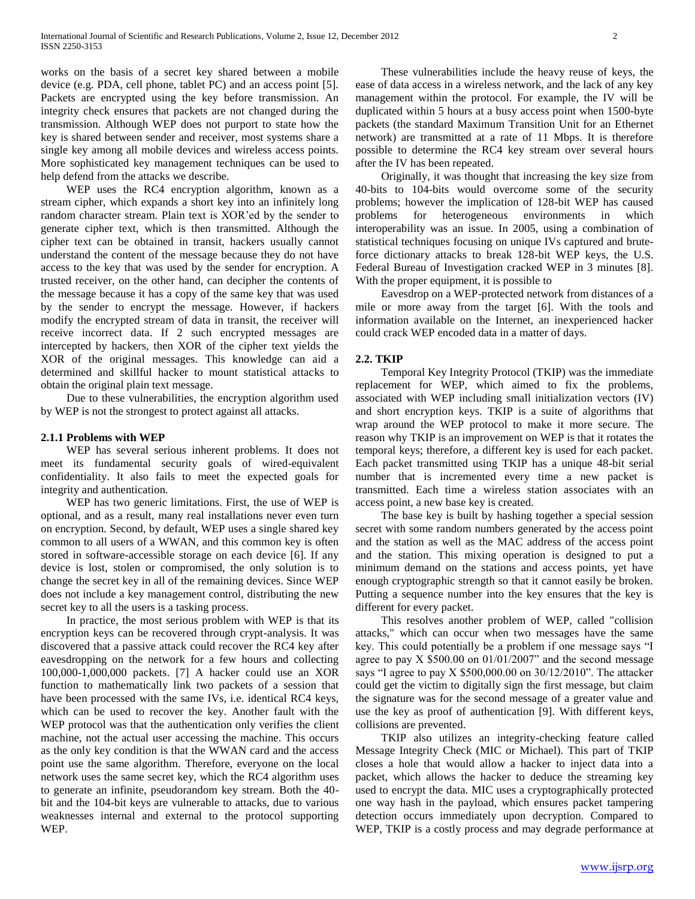works on the basis of a secret key shared between a mobile device (e.g. PDA, cell phone, tablet PC) and an access point [5]. Packets are encrypted using the key before transmission. An integrity check ensures that packets are not changed during the transmission. Although WEP does not purport to state how the key is shared between sender and receiver, most systems share a single key among all mobile devices and wireless access points. More sophisticated key management techniques can be used to help defend from the attacks we describe.

WEP uses the RC4 encryption algorithm, known as a stream cipher, which expands a short key into an infinitely long random character stream. Plain text is XOR'ed by the sender to generate cipher text, which is then transmitted. Although the cipher text can be obtained in transit, hackers usually cannot understand the content of the message because they do not have access to the key that was used by the sender for encryption. A trusted receiver, on the other hand, can decipher the contents of the message because it has a copy of the same key that was used by the sender to encrypt the message. However, if hackers modify the encrypted stream of data in transit, the receiver will receive incorrect data. If 2 such encrypted messages are intercepted by hackers, then XOR of the cipher text yields the XOR of the original messages. This knowledge can aid a determined and skillful hacker to mount statistical attacks to obtain the original plain text message.

 Due to these vulnerabilities, the encryption algorithm used by WEP is not the strongest to protect against all attacks.

#### **2.1.1 Problems with WEP**

 WEP has several serious inherent problems. It does not meet its fundamental security goals of wired-equivalent confidentiality. It also fails to meet the expected goals for integrity and authentication.

 WEP has two generic limitations. First, the use of WEP is optional, and as a result, many real installations never even turn on encryption. Second, by default, WEP uses a single shared key common to all users of a WWAN, and this common key is often stored in software-accessible storage on each device [6]. If any device is lost, stolen or compromised, the only solution is to change the secret key in all of the remaining devices. Since WEP does not include a key management control, distributing the new secret key to all the users is a tasking process.

 In practice, the most serious problem with WEP is that its encryption keys can be recovered through crypt-analysis. It was discovered that a passive attack could recover the RC4 key after eavesdropping on the network for a few hours and collecting 100,000-1,000,000 packets. [7] A hacker could use an XOR function to mathematically link two packets of a session that have been processed with the same IVs, i.e. identical RC4 keys, which can be used to recover the key. Another fault with the WEP protocol was that the authentication only verifies the client machine, not the actual user accessing the machine. This occurs as the only key condition is that the WWAN card and the access point use the same algorithm. Therefore, everyone on the local network uses the same secret key, which the RC4 algorithm uses to generate an infinite, pseudorandom key stream. Both the 40 bit and the 104-bit keys are vulnerable to attacks, due to various weaknesses internal and external to the protocol supporting WEP.

 These vulnerabilities include the heavy reuse of keys, the ease of data access in a wireless network, and the lack of any key management within the protocol. For example, the IV will be duplicated within 5 hours at a busy access point when 1500-byte packets (the standard Maximum Transition Unit for an Ethernet network) are transmitted at a rate of 11 Mbps. It is therefore possible to determine the RC4 key stream over several hours after the IV has been repeated.

 Originally, it was thought that increasing the key size from 40-bits to 104-bits would overcome some of the security problems; however the implication of 128-bit WEP has caused problems for heterogeneous environments in which interoperability was an issue. In 2005, using a combination of statistical techniques focusing on unique IVs captured and bruteforce dictionary attacks to break 128-bit WEP keys, the U.S. Federal Bureau of Investigation cracked WEP in 3 minutes [8]. With the proper equipment, it is possible to

 Eavesdrop on a WEP-protected network from distances of a mile or more away from the target [6]. With the tools and information available on the Internet, an inexperienced hacker could crack WEP encoded data in a matter of days.

#### **2.2. TKIP**

 Temporal Key Integrity Protocol (TKIP) was the immediate replacement for WEP, which aimed to fix the problems, associated with WEP including small initialization vectors (IV) and short encryption keys. TKIP is a suite of algorithms that wrap around the WEP protocol to make it more secure. The reason why TKIP is an improvement on WEP is that it rotates the temporal keys; therefore, a different key is used for each packet. Each packet transmitted using TKIP has a unique 48-bit serial number that is incremented every time a new packet is transmitted. Each time a wireless station associates with an access point, a new base key is created.

 The base key is built by hashing together a special session secret with some random numbers generated by the access point and the station as well as the MAC address of the access point and the station. This mixing operation is designed to put a minimum demand on the stations and access points, yet have enough cryptographic strength so that it cannot easily be broken. Putting a sequence number into the key ensures that the key is different for every packet.

 This resolves another problem of WEP, called "collision attacks," which can occur when two messages have the same key. This could potentially be a problem if one message says "I agree to pay X \$500.00 on 01/01/2007" and the second message says "I agree to pay X \$500,000.00 on 30/12/2010". The attacker could get the victim to digitally sign the first message, but claim the signature was for the second message of a greater value and use the key as proof of authentication [9]. With different keys, collisions are prevented.

 TKIP also utilizes an integrity-checking feature called Message Integrity Check (MIC or Michael). This part of TKIP closes a hole that would allow a hacker to inject data into a packet, which allows the hacker to deduce the streaming key used to encrypt the data. MIC uses a cryptographically protected one way hash in the payload, which ensures packet tampering detection occurs immediately upon decryption. Compared to WEP, TKIP is a costly process and may degrade performance at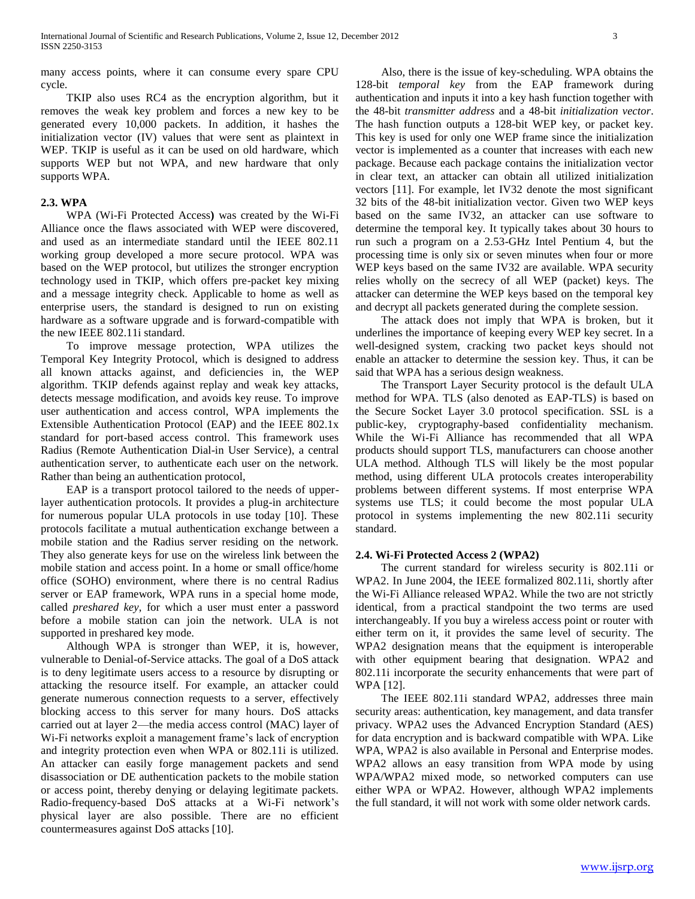many access points, where it can consume every spare CPU cycle.

 TKIP also uses RC4 as the encryption algorithm, but it removes the weak key problem and forces a new key to be generated every 10,000 packets. In addition, it hashes the initialization vector (IV) values that were sent as plaintext in WEP. TKIP is useful as it can be used on old hardware, which supports WEP but not WPA, and new hardware that only supports WPA.

## **2.3. WPA**

 WPA (Wi-Fi Protected Access**)** was created by the Wi-Fi Alliance once the flaws associated with WEP were discovered, and used as an intermediate standard until the IEEE 802.11 working group developed a more secure protocol. WPA was based on the WEP protocol, but utilizes the stronger encryption technology used in TKIP, which offers pre-packet key mixing and a message integrity check. Applicable to home as well as enterprise users, the standard is designed to run on existing hardware as a software upgrade and is forward-compatible with the new IEEE 802.11i standard.

 To improve message protection, WPA utilizes the Temporal Key Integrity Protocol, which is designed to address all known attacks against, and deficiencies in, the WEP algorithm. TKIP defends against replay and weak key attacks, detects message modification, and avoids key reuse. To improve user authentication and access control, WPA implements the Extensible Authentication Protocol (EAP) and the IEEE 802.1x standard for port-based access control. This framework uses Radius (Remote Authentication Dial-in User Service), a central authentication server, to authenticate each user on the network. Rather than being an authentication protocol,

 EAP is a transport protocol tailored to the needs of upperlayer authentication protocols. It provides a plug-in architecture for numerous popular ULA protocols in use today [10]. These protocols facilitate a mutual authentication exchange between a mobile station and the Radius server residing on the network. They also generate keys for use on the wireless link between the mobile station and access point. In a home or small office/home office (SOHO) environment, where there is no central Radius server or EAP framework, WPA runs in a special home mode, called *preshared key*, for which a user must enter a password before a mobile station can join the network. ULA is not supported in preshared key mode.

 Although WPA is stronger than WEP, it is, however, vulnerable to Denial-of-Service attacks. The goal of a DoS attack is to deny legitimate users access to a resource by disrupting or attacking the resource itself. For example, an attacker could generate numerous connection requests to a server, effectively blocking access to this server for many hours. DoS attacks carried out at layer 2—the media access control (MAC) layer of Wi-Fi networks exploit a management frame's lack of encryption and integrity protection even when WPA or 802.11i is utilized. An attacker can easily forge management packets and send disassociation or DE authentication packets to the mobile station or access point, thereby denying or delaying legitimate packets. Radio-frequency-based DoS attacks at a Wi-Fi network's physical layer are also possible. There are no efficient countermeasures against DoS attacks [10].

 Also, there is the issue of key-scheduling. WPA obtains the 128-bit *temporal key* from the EAP framework during authentication and inputs it into a key hash function together with the 48-bit *transmitter address* and a 48-bit *initialization vector*. The hash function outputs a 128-bit WEP key, or packet key. This key is used for only one WEP frame since the initialization vector is implemented as a counter that increases with each new package. Because each package contains the initialization vector in clear text, an attacker can obtain all utilized initialization vectors [11]. For example, let IV32 denote the most significant 32 bits of the 48-bit initialization vector. Given two WEP keys based on the same IV32, an attacker can use software to determine the temporal key. It typically takes about 30 hours to run such a program on a 2.53-GHz Intel Pentium 4, but the processing time is only six or seven minutes when four or more WEP keys based on the same IV32 are available. WPA security relies wholly on the secrecy of all WEP (packet) keys. The attacker can determine the WEP keys based on the temporal key and decrypt all packets generated during the complete session.

 The attack does not imply that WPA is broken, but it underlines the importance of keeping every WEP key secret. In a well-designed system, cracking two packet keys should not enable an attacker to determine the session key. Thus, it can be said that WPA has a serious design weakness.

 The Transport Layer Security protocol is the default ULA method for WPA. TLS (also denoted as EAP-TLS) is based on the Secure Socket Layer 3.0 protocol specification. SSL is a public-key, cryptography-based confidentiality mechanism. While the Wi-Fi Alliance has recommended that all WPA products should support TLS, manufacturers can choose another ULA method. Although TLS will likely be the most popular method, using different ULA protocols creates interoperability problems between different systems. If most enterprise WPA systems use TLS; it could become the most popular ULA protocol in systems implementing the new 802.11i security standard.

#### **2.4. Wi-Fi Protected Access 2 (WPA2)**

 The current standard for wireless security is 802.11i or WPA2. In June 2004, the IEEE formalized 802.11i, shortly after the Wi-Fi Alliance released WPA2. While the two are not strictly identical, from a practical standpoint the two terms are used interchangeably. If you buy a wireless access point or router with either term on it, it provides the same level of security. The WPA2 designation means that the equipment is interoperable with other equipment bearing that designation. WPA2 and 802.11i incorporate the security enhancements that were part of WPA [12].

 The IEEE 802.11i standard WPA2, addresses three main security areas: authentication, key management, and data transfer privacy. WPA2 uses the Advanced Encryption Standard (AES) for data encryption and is backward compatible with WPA. Like WPA, WPA2 is also available in Personal and Enterprise modes. WPA2 allows an easy transition from WPA mode by using WPA/WPA2 mixed mode, so networked computers can use either WPA or WPA2. However, although WPA2 implements the full standard, it will not work with some older network cards.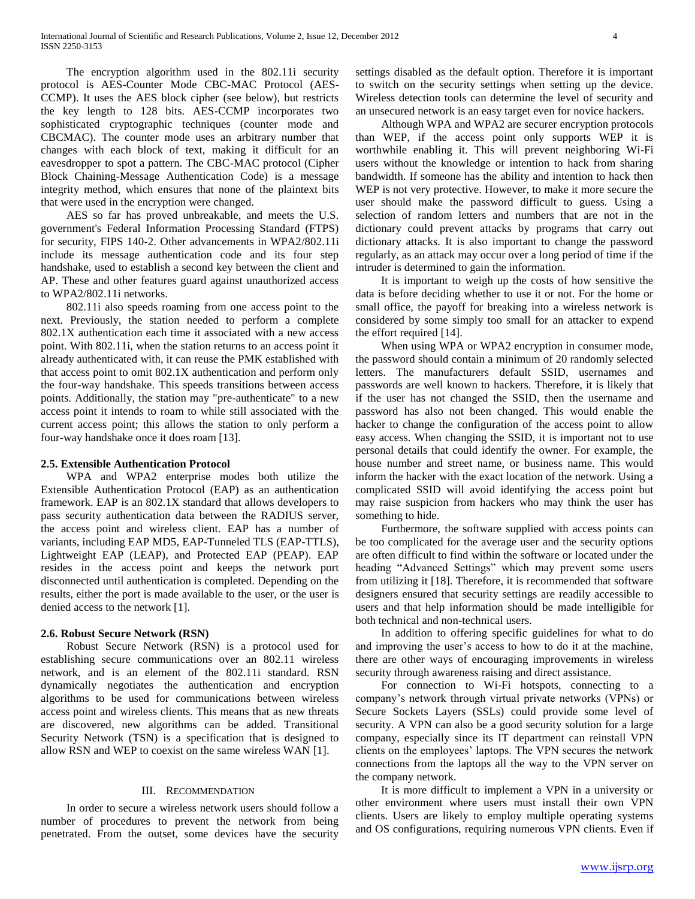The encryption algorithm used in the 802.11i security protocol is AES-Counter Mode CBC-MAC Protocol (AES-CCMP). It uses the AES block cipher (see below), but restricts the key length to 128 bits. AES-CCMP incorporates two sophisticated cryptographic techniques (counter mode and CBCMAC). The counter mode uses an arbitrary number that changes with each block of text, making it difficult for an eavesdropper to spot a pattern. The CBC-MAC protocol (Cipher Block Chaining-Message Authentication Code) is a message integrity method, which ensures that none of the plaintext bits that were used in the encryption were changed.

 AES so far has proved unbreakable, and meets the U.S. government's Federal Information Processing Standard (FTPS) for security, FIPS 140-2. Other advancements in WPA2/802.11i include its message authentication code and its four step handshake, used to establish a second key between the client and AP. These and other features guard against unauthorized access to WPA2/802.11i networks.

 802.11i also speeds roaming from one access point to the next. Previously, the station needed to perform a complete 802.1X authentication each time it associated with a new access point. With 802.11i, when the station returns to an access point it already authenticated with, it can reuse the PMK established with that access point to omit 802.1X authentication and perform only the four-way handshake. This speeds transitions between access points. Additionally, the station may "pre-authenticate" to a new access point it intends to roam to while still associated with the current access point; this allows the station to only perform a four-way handshake once it does roam [13].

#### **2.5. Extensible Authentication Protocol**

 WPA and WPA2 enterprise modes both utilize the Extensible Authentication Protocol (EAP) as an authentication framework. EAP is an 802.1X standard that allows developers to pass security authentication data between the RADIUS server, the access point and wireless client. EAP has a number of variants, including EAP MD5, EAP-Tunneled TLS (EAP-TTLS), Lightweight EAP (LEAP), and Protected EAP (PEAP). EAP resides in the access point and keeps the network port disconnected until authentication is completed. Depending on the results, either the port is made available to the user, or the user is denied access to the network [1].

#### **2.6. Robust Secure Network (RSN)**

 Robust Secure Network (RSN) is a protocol used for establishing secure communications over an 802.11 wireless network, and is an element of the 802.11i standard. RSN dynamically negotiates the authentication and encryption algorithms to be used for communications between wireless access point and wireless clients. This means that as new threats are discovered, new algorithms can be added. Transitional Security Network (TSN) is a specification that is designed to allow RSN and WEP to coexist on the same wireless WAN [1].

#### III. RECOMMENDATION

 In order to secure a wireless network users should follow a number of procedures to prevent the network from being penetrated. From the outset, some devices have the security settings disabled as the default option. Therefore it is important to switch on the security settings when setting up the device. Wireless detection tools can determine the level of security and an unsecured network is an easy target even for novice hackers.

 Although WPA and WPA2 are securer encryption protocols than WEP, if the access point only supports WEP it is worthwhile enabling it. This will prevent neighboring Wi-Fi users without the knowledge or intention to hack from sharing bandwidth. If someone has the ability and intention to hack then WEP is not very protective. However, to make it more secure the user should make the password difficult to guess. Using a selection of random letters and numbers that are not in the dictionary could prevent attacks by programs that carry out dictionary attacks. It is also important to change the password regularly, as an attack may occur over a long period of time if the intruder is determined to gain the information.

 It is important to weigh up the costs of how sensitive the data is before deciding whether to use it or not. For the home or small office, the payoff for breaking into a wireless network is considered by some simply too small for an attacker to expend the effort required [14].

 When using WPA or WPA2 encryption in consumer mode, the password should contain a minimum of 20 randomly selected letters. The manufacturers default SSID, usernames and passwords are well known to hackers. Therefore, it is likely that if the user has not changed the SSID, then the username and password has also not been changed. This would enable the hacker to change the configuration of the access point to allow easy access. When changing the SSID, it is important not to use personal details that could identify the owner. For example, the house number and street name, or business name. This would inform the hacker with the exact location of the network. Using a complicated SSID will avoid identifying the access point but may raise suspicion from hackers who may think the user has something to hide.

 Furthermore, the software supplied with access points can be too complicated for the average user and the security options are often difficult to find within the software or located under the heading "Advanced Settings" which may prevent some users from utilizing it [18]. Therefore, it is recommended that software designers ensured that security settings are readily accessible to users and that help information should be made intelligible for both technical and non-technical users.

 In addition to offering specific guidelines for what to do and improving the user's access to how to do it at the machine, there are other ways of encouraging improvements in wireless security through awareness raising and direct assistance.

 For connection to Wi-Fi hotspots, connecting to a company's network through virtual private networks (VPNs) or Secure Sockets Layers (SSLs) could provide some level of security. A VPN can also be a good security solution for a large company, especially since its IT department can reinstall VPN clients on the employees' laptops. The VPN secures the network connections from the laptops all the way to the VPN server on the company network.

 It is more difficult to implement a VPN in a university or other environment where users must install their own VPN clients. Users are likely to employ multiple operating systems and OS configurations, requiring numerous VPN clients. Even if